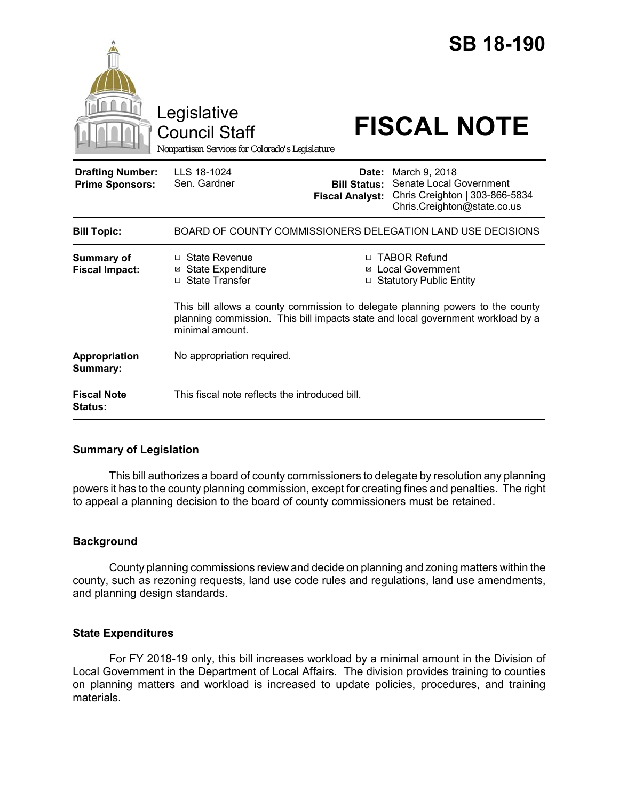|                                                   | Legislative<br><b>Council Staff</b><br>Nonpartisan Services for Colorado's Legislature |                                                                                                                                                                                                                                                                      | <b>SB 18-190</b><br><b>FISCAL NOTE</b>                                                                    |  |
|---------------------------------------------------|----------------------------------------------------------------------------------------|----------------------------------------------------------------------------------------------------------------------------------------------------------------------------------------------------------------------------------------------------------------------|-----------------------------------------------------------------------------------------------------------|--|
| <b>Drafting Number:</b><br><b>Prime Sponsors:</b> | LLS 18-1024<br>Sen. Gardner                                                            | Date:<br><b>Bill Status:</b><br><b>Fiscal Analyst:</b>                                                                                                                                                                                                               | March 9, 2018<br>Senate Local Government<br>Chris Creighton   303-866-5834<br>Chris.Creighton@state.co.us |  |
| <b>Bill Topic:</b>                                | BOARD OF COUNTY COMMISSIONERS DELEGATION LAND USE DECISIONS                            |                                                                                                                                                                                                                                                                      |                                                                                                           |  |
| <b>Summary of</b><br><b>Fiscal Impact:</b>        | □ State Revenue<br><b>State Expenditure</b><br>□ State Transfer<br>minimal amount.     | <b>TABOR Refund</b><br>п<br><b>Local Government</b><br>⊠<br><b>Statutory Public Entity</b><br>□<br>This bill allows a county commission to delegate planning powers to the county<br>planning commission. This bill impacts state and local government workload by a |                                                                                                           |  |
| Appropriation<br>Summary:                         | No appropriation required.                                                             |                                                                                                                                                                                                                                                                      |                                                                                                           |  |
| <b>Fiscal Note</b><br>Status:                     | This fiscal note reflects the introduced bill.                                         |                                                                                                                                                                                                                                                                      |                                                                                                           |  |

## **Summary of Legislation**

This bill authorizes a board of county commissioners to delegate by resolution any planning powers it has to the county planning commission, except for creating fines and penalties. The right to appeal a planning decision to the board of county commissioners must be retained.

# **Background**

County planning commissions review and decide on planning and zoning matters within the county, such as rezoning requests, land use code rules and regulations, land use amendments, and planning design standards.

## **State Expenditures**

For FY 2018-19 only, this bill increases workload by a minimal amount in the Division of Local Government in the Department of Local Affairs. The division provides training to counties on planning matters and workload is increased to update policies, procedures, and training materials.